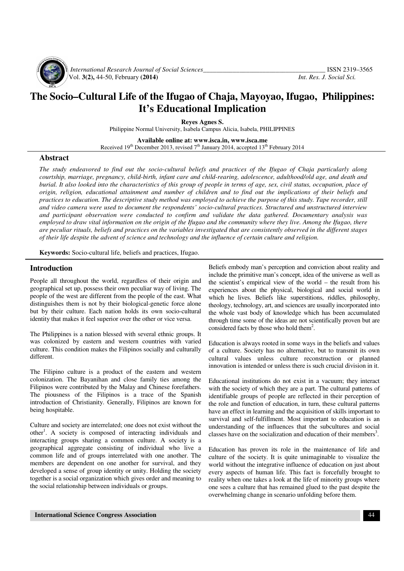

 *International Research Journal of Social Sciences\_\_\_\_\_\_\_\_\_\_\_\_\_\_\_\_\_\_\_\_\_\_\_\_\_\_\_\_\_\_\_\_\_\_\_\_\_* ISSN 2319–3565 Vol. **3(2),** 44-50, February **(2014)** *Int. Res. J. Social Sci.*

# **The Socio–Cultural Life of the Ifugao of Chaja, Mayoyao, Ifugao, Philippines: It's Educational Implication**

**Reyes Agnes S.** 

Philippine Normal University, Isabela Campus Alicia, Isabela, PHILIPPINES

**Available online at: www.isca.in, www.isca.me**  Received  $19<sup>th</sup>$  December 2013, revised  $7<sup>th</sup>$  January 2014, accepted  $13<sup>th</sup>$  February 2014

#### **Abstract**

*The study endeavored to find out the socio-cultural beliefs and practices of the Ifugao of Chaja particularly along courtship, marriage, pregnancy, child-birth, infant care and child-rearing, adolescence, adulthood/old age, and death and burial. It also looked into the characteristics of this group of people in terms of age, sex, civil status, occupation, place of origin, religion, educational attainment and number of children and to find out the implications of their beliefs and practices to education. The descriptive study method was employed to achieve the purpose of this study. Tape recorder, still and video camera were used to document the respondents' socio-cultural practices. Structured and unstructured interview and participant observation were conducted to confirm and validate the data gathered. Documentary analysis was employed to draw vital information on the origin of the Ifugao and the community where they live. Among the Ifugao, there are peculiar rituals, beliefs and practices on the variables investigated that are consistently observed in the different stages of their life despite the advent of science and technology and the influence of certain culture and religion.* 

**Keywords:** Socio-cultural life, beliefs and practices, Ifugao.

#### **Introduction**

People all throughout the world, regardless of their origin and geographical set up, possess their own peculiar way of living. The people of the west are different from the people of the east. What distinguishes them is not by their biological-genetic force alone but by their culture. Each nation holds its own socio-cultural identity that makes it feel superior over the other or vice versa.

The Philippines is a nation blessed with several ethnic groups. It was colonized by eastern and western countries with varied culture. This condition makes the Filipinos socially and culturally different.

The Filipino culture is a product of the eastern and western colonization. The Bayanihan and close family ties among the Filipinos were contributed by the Malay and Chinese forefathers. The piousness of the Filipinos is a trace of the Spanish introduction of Christianity. Generally, Filipinos are known for being hospitable.

Culture and society are interrelated; one does not exist without the other<sup>1</sup>. A society is composed of interacting individuals and interacting groups sharing a common culture. A society is a geographical aggregate consisting of individual who live a common life and of groups interrelated with one another. The members are dependent on one another for survival, and they developed a sense of group identity or unity. Holding the society together is a social organization which gives order and meaning to the social relationship between individuals or groups.

Beliefs embody man's perception and conviction about reality and include the primitive man's concept, idea of the universe as well as the scientist's empirical view of the world – the result from his experiences about the physical, biological and social world in which he lives. Beliefs like superstitions, riddles, philosophy, theology, technology, art, and sciences are usually incorporated into the whole vast body of knowledge which has been accumulated through time some of the ideas are not scientifically proven but are considered facts by those who hold them<sup>2</sup>.

Education is always rooted in some ways in the beliefs and values of a culture. Society has no alternative, but to transmit its own cultural values unless culture reconstruction or planned innovation is intended or unless there is such crucial division in it.

Educational institutions do not exist in a vacuum; they interact with the society of which they are a part. The cultural patterns of identifiable groups of people are reflected in their perception of the role and function of education, in turn, these cultural patterns have an effect in learning and the acquisition of skills important to survival and self-fulfillment. Most important to education is an understanding of the influences that the subcultures and social classes have on the socialization and education of their members<sup>3</sup>.

Education has proven its role in the maintenance of life and culture of the society. It is quite unimaginable to visualize the world without the integrative influence of education on just about every aspects of human life. This fact is forcefully brought to reality when one takes a look at the life of minority groups where one sees a culture that has remained glued to the past despite the overwhelming change in scenario unfolding before them.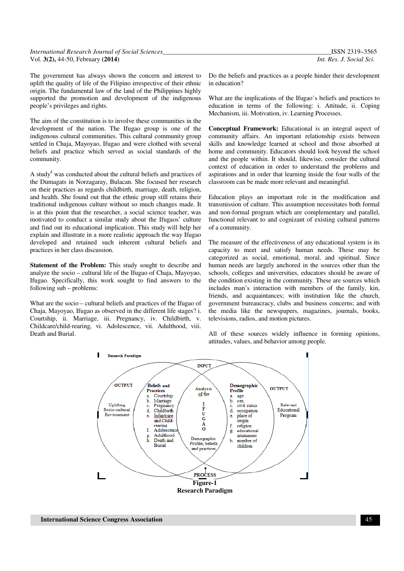| International Research Journal of Social Sciences | ISSN 2319-3565           |
|---------------------------------------------------|--------------------------|
| Vol. 3(2), 44-50, February (2014)                 | Int. Res. J. Social Sci. |

The government has always shown the concern and interest to uplift the quality of life of the Filipino irrespective of their ethnic origin. The fundamental law of the land of the Philippines highly supported the promotion and development of the indigenous people's privileges and rights.

The aim of the constitution is to involve these communities in the development of the nation. The Ifugao group is one of the indigenous cultural communities. This cultural community group settled in Chaja, Mayoyao, Ifugao and were clothed with several beliefs and practice which served as social standards of the community.

A study<sup>4</sup> was conducted about the cultural beliefs and practices of the Dumagats in Norzagaray, Bulacan. She focused her research on their practices as regards childbirth, marriage, death, religion, and health. She found out that the ethnic group still retains their traditional indigenous culture without so much changes made. It is at this point that the researcher, a social science teacher, was motivated to conduct a similar study about the Ifugaos' culture and find out its educational implication. This study will help her explain and illustrate in a more realistic approach the way Ifugao developed and retained such inherent cultural beliefs and practices in her class discussion.

**Statement of the Problem:** This study sought to describe and analyze the socio – cultural life of the Ifugao of Chaja, Mayoyao, Ifugao. Specifically, this work sought to find answers to the following sub – problems:

What are the socio – cultural beliefs and practices of the Ifugao of Chaja, Mayoyao, Ifugao as observed in the different life stages? i. Courtship, ii. Marriage, iii. Pregnancy, iv. Childbirth, v. Childcare/child-rearing, vi. Adolescence, vii. Adulthood, viii. Death and Burial.

Do the beliefs and practices as a people hinder their development in education?

What are the implications of the Ifugao's beliefs and practices to education in terms of the following: i. Attitude, ii. Coping Mechanism, iii. Motivation, iv. Learning Processes.

**Conceptual Framework:** Educational is an integral aspect of community affairs. An important relationship exists between skills and knowledge learned at school and those absorbed at home and community. Educators should look beyond the school and the people within. It should, likewise, consider the cultural context of education in order to understand the problems and aspirations and in order that learning inside the four walls of the classroom can be made more relevant and meaningful.

Education plays an important role in the modification and transmission of culture. This assumption necessitates both formal and non-formal program which are complementary and parallel, functional relevant to and cognizant of existing cultural patterns of a community.

The measure of the effectiveness of any educational system is its capacity to meet and satisfy human needs. These may be categorized as social, emotional, moral, and spiritual. Since human needs are largely anchored in the sources other than the schools, colleges and universities, educators should be aware of the condition existing in the community. These are sources which includes man's interaction with members of the family, kin, friends, and acquaintances; with institution like the church, government bureaucracy, clubs and business concerns; and with the media like the newspapers, magazines, journals, books, televisions, radios, and motion pictures.

All of these sources widely influence in forming opinions, attitudes, values, and behavior among people.

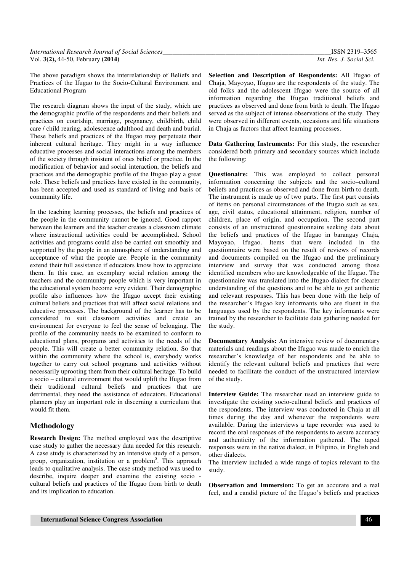The above paradigm shows the interrelationship of Beliefs and Practices of the Ifugao to the Socio-Cultural Environment and Educational Program

The research diagram shows the input of the study, which are the demographic profile of the respondents and their beliefs and practices on courtship, marriage, pregnancy, childbirth, child care / child rearing, adolescence adulthood and death and burial. These beliefs and practices of the Ifugao may perpetuate their inherent cultural heritage. They might in a way influence educative processes and social interactions among the members of the society through insistent of ones belief or practice. In the modification of behavior and social interaction, the beliefs and practices and the demographic profile of the Ifugao play a great role. These beliefs and practices have existed in the community, has been accepted and used as standard of living and basis of community life.

In the teaching learning processes, the beliefs and practices of the people in the community cannot be ignored. Good rapport between the learners and the teacher creates a classroom climate where instructional activities could be accomplished. School activities and programs could also be carried out smoothly and supported by the people in an atmosphere of understanding and acceptance of what the people are. People in the community extend their full assistance if educators know how to appreciate them. In this case, an exemplary social relation among the teachers and the community people which is very important in the educational system become very evident. Their demographic profile also influences how the Ifugao accept their existing cultural beliefs and practices that will affect social relations and educative processes. The background of the learner has to be considered to suit classroom activities and create an environment for everyone to feel the sense of belonging. The profile of the community needs to be examined to conform to educational plans, programs and activities to the needs of the people. This will create a better community relation. So that within the community where the school is, everybody works together to carry out school programs and activities without necessarily uprooting them from their cultural heritage. To build a socio – cultural environment that would uplift the Ifugao from their traditional cultural beliefs and practices that are detrimental, they need the assistance of educators. Educational planners play an important role in discerning a curriculum that would fit them.

# **Methodology**

**Research Design:** The method employed was the descriptive case study to gather the necessary data needed for this research. A case study is characterized by an intensive study of a person, group, organization, institution or a problem<sup>5</sup>. This approach leads to qualitative analysis. The case study method was used to describe, inquire deeper and examine the existing socio cultural beliefs and practices of the Ifugao from birth to death and its implication to education.

**Selection and Description of Respondents:** All Ifugao of Chaja, Mayoyao, Ifugao are the respondents of the study. The old folks and the adolescent Ifugao were the source of all information regarding the Ifugao traditional beliefs and practices as observed and done from birth to death. The Ifugao served as the subject of intense observations of the study. They were observed in different events, occasions and life situations in Chaja as factors that affect learning processes.

**Data Gathering Instruments:** For this study, the researcher considered both primary and secondary sources which include the following:

**Questionaire:** This was employed to collect personal information concerning the subjects and the socio–cultural beliefs and practices as observed and done from birth to death. The instrument is made up of two parts. The first part consists of items on personal circumstances of the Ifugao such as sex, age, civil status, educational attainment, religion, number of children, place of origin, and occupation. The second part consists of an unstructured questionnaire seeking data about the beliefs and practices of the Ifugao in barangay Chaja, Mayoyao, Ifugao. Items that were included in the questionnaire were based on the result of reviews of records and documents compiled on the Ifugao and the preliminary interview and survey that was conducted among those identified members who are knowledgeable of the Ifugao. The questionnaire was translated into the Ifugao dialect for clearer understanding of the questions and to be able to get authentic and relevant responses. This has been done with the help of the researcher's Ifugao key informants who are fluent in the languages used by the respondents. The key informants were trained by the researcher to facilitate data gathering needed for the study.

**Documentary Analysis:** An intensive review of documentary materials and readings about the Ifugao was made to enrich the researcher's knowledge of her respondents and be able to identify the relevant cultural beliefs and practices that were needed to facilitate the conduct of the unstructured interview of the study.

**Interview Guide:** The researcher used an interview guide to investigate the existing socio-cultural beliefs and practices of the respondents. The interview was conducted in Chaja at all times during the day and whenever the respondents were available. During the interviews a tape recorder was used to record the oral responses of the respondents to assure accuracy and authenticity of the information gathered. The taped responses were in the native dialect, in Filipino, in English and other dialects.

The interview included a wide range of topics relevant to the study.

**Observation and Immersion:** To get an accurate and a real feel, and a candid picture of the Ifugao's beliefs and practices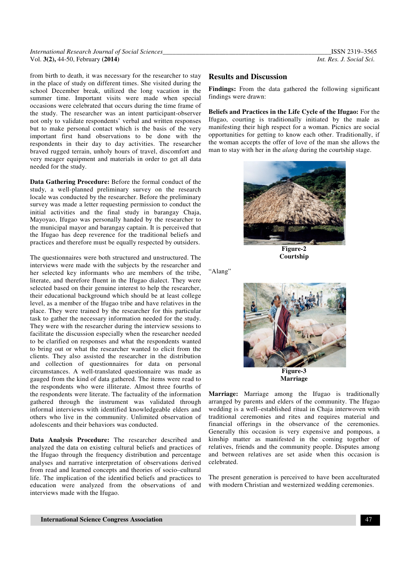#### *International Research Journal of Social Sciences\_\_\_\_\_\_\_\_\_\_\_\_\_\_\_\_\_\_\_\_\_\_\_\_\_\_\_\_\_\_\_\_\_\_\_\_\_\_\_\_\_\_\_\_\_\_\_\_\_\_\_*ISSN 2319–3565 Vol. **3(2),** 44-50, February **(2014)** *Int. Res. J. Social Sci.*

from birth to death, it was necessary for the researcher to stay in the place of study on different times. She visited during the school December break, utilized the long vacation in the summer time. Important visits were made when special occasions were celebrated that occurs during the time frame of the study. The researcher was an intent participant-observer not only to validate respondents' verbal and written responses but to make personal contact which is the basis of the very important first hand observations to be done with the respondents in their day to day activities. The researcher braved rugged terrain, unholy hours of travel, discomfort and very meager equipment and materials in order to get all data needed for the study.

**Data Gathering Procedure:** Before the formal conduct of the study, a well-planned preliminary survey on the research locale was conducted by the researcher. Before the preliminary survey was made a letter requesting permission to conduct the initial activities and the final study in barangay Chaja, Mayoyao, Ifugao was personally handed by the researcher to the municipal mayor and barangay captain. It is perceived that the Ifugao has deep reverence for the traditional beliefs and practices and therefore must be equally respected by outsiders.

The questionnaires were both structured and unstructured. The interviews were made with the subjects by the researcher and her selected key informants who are members of the tribe, literate, and therefore fluent in the Ifugao dialect. They were selected based on their genuine interest to help the researcher, their educational background which should be at least college level, as a member of the Ifugao tribe and have relatives in the place. They were trained by the researcher for this particular task to gather the necessary information needed for the study. They were with the researcher during the interview sessions to facilitate the discussion especially when the researcher needed to be clarified on responses and what the respondents wanted to bring out or what the researcher wanted to elicit from the clients. They also assisted the researcher in the distribution and collection of questionnaires for data on personal circumstances. A well-translated questionnaire was made as gauged from the kind of data gathered. The items were read to the respondents who were illiterate. Almost three fourths of the respondents were literate. The factuality of the information gathered through the instrument was validated through informal interviews with identified knowledgeable elders and others who live in the community. Unlimited observation of adolescents and their behaviors was conducted.

**Data Analysis Procedure:** The researcher described and analyzed the data on existing cultural beliefs and practices of the Ifugao through the frequency distribution and percentage analyses and narrative interpretation of observations derived from read and learned concepts and theories of socio–cultural life. The implication of the identified beliefs and practices to education were analyzed from the observations of and interviews made with the Ifugao.

## **Results and Discussion**

Findings: From the data gathered the following significant findings were drawn:

**Beliefs and Practices in the Life Cycle of the Ifugao:** For the Ifugao, courting is traditionally initiated by the male as manifesting their high respect for a woman. Picnics are social opportunities for getting to know each other. Traditionally, if the woman accepts the offer of love of the man she allows the man to stay with her in the *alang* during the courtship stage.



**Courtship** 

"Alang"



**Marriage** 

**Marriage:** Marriage among the Ifugao is traditionally arranged by parents and elders of the community. The Ifugao wedding is a well–established ritual in Chaja interwoven with traditional ceremonies and rites and requires material and financial offerings in the observance of the ceremonies. Generally this occasion is very expensive and pompous, a kinship matter as manifested in the coming together of relatives, friends and the community people. Disputes among and between relatives are set aside when this occasion is celebrated.

The present generation is perceived to have been acculturated with modern Christian and westernized wedding ceremonies.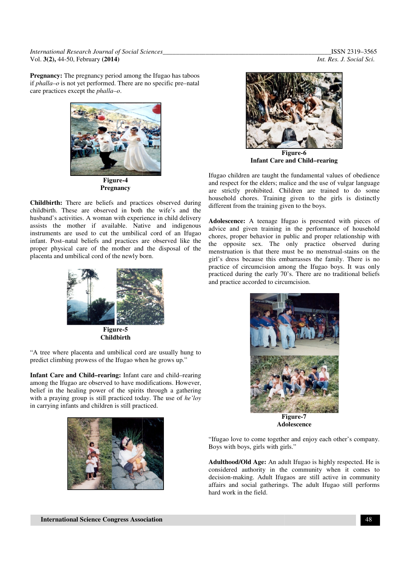*International Research Journal of Social Sciences\_\_ Sciences\_\_\_\_\_\_\_\_\_\_\_\_\_\_\_\_\_\_\_\_\_\_\_\_\_\_\_\_\_\_\_\_\_\_\_\_\_\_\_\_* Vol. **3(2),** 44-50, February **(2014)** 

**Pregnancy:** The pregnancy period among the Ifugao has taboos if *phalla–o* is not yet performed. There are no specific pre–natal if *phalla–o* is not yet performed. There are no specific pre care practices except the *phalla–o*.



**Figure-4 Pregnancy** 

**Childbirth:** There are beliefs and practices observed during childbirth. These are observed in both the wife's and the husband's activities. A woman with experience in child delivery assists the mother if available. Native and indigenous instruments are used to cut the umbilical cord of an Ifugao infant. Post–natal beliefs and practices are observed like the proper physical care of the mother and the disposal of the placenta and umbilical cord of the newly born. are beliefs and practices observed during<br>re observed in both the wife's and the<br>A woman with experience in child delivery<br>r if available. Native and indigenous<br>d to cut the umbilical cord of an Ifugao<br>eliefs and practices



**Figure-5 Childbirth**

"A tree where placenta and umbilical cord are usually hung to predict climbing prowess of the Ifugao when he grows up."

**Infant Care and Child–rearing:** Infant care and child among the Ifugao are observed to have modifications. However, belief in the healing power of the spirits through a gathering belief in the healing power of the spirits through a gathering<br>with a praying group is still practiced today. The use of *he'loy* in carrying infants and children is still practiced.



*\_\_\_\_\_\_\_\_\_\_\_\_\_\_\_\_\_\_\_\_\_\_\_\_\_\_\_\_\_\_\_\_\_\_\_*ISSN 2319–3565 *Int. Res. J. Social Sci.*



**Figure Figure-6 Infant Care and Child–rearing** 

Ifugao children are taught the fundamental values of obedience and respect for the elders; malice and the use of vulgar language are strictly prohibited. Children are trained to do some household chores. Training given to the girls is distinctly different from the training given to the boys.

**Adolescence:** A teenage Ifugao is presented with pieces of advice and given training in the performance of household chores, proper behavior in public and proper relationship with and respect for the elders; malice and the use of vulgar language<br>are strictly prohibited. Children are trained to do some<br>household chores. Training given to the girls is distinctly<br>different from the training given to th menstruation is that there must be no menstrual menstrual-stains on the girl's dress because this embarrasses the family. There is no practice of circumcision among the Ifugao boys. It was only practiced during the early 70's. There are no traditional beliefs practiced during the early 70's. There and practice accorded to circumcision.



**Figure Figure-7 Adolescence**

"Ifugao love to come together and enjoy each other's company. Boys with boys, girls with girls." "Ifugao love to come together and enjoy each other's company.<br>Boys with boys, girls with girls."<br>**Adulthood/Old Age:** An adult Ifugao is highly respected. He is

considered authority in the community when it comes to decision-making. Adult Ifugaos are still active in community decision-making. Adult Ifugaos are still active in community affairs and social gatherings. The adult Ifugao still performs hard work in the field.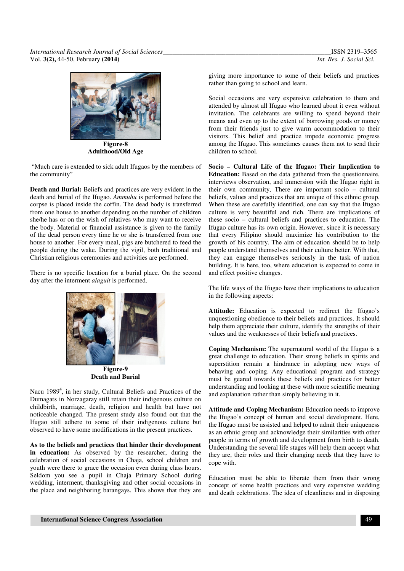*International Research Journal of Social Sciences\_\_\_\_\_\_\_\_\_\_\_\_\_\_\_\_\_\_\_\_\_\_\_\_\_\_\_\_\_\_\_\_\_\_\_\_\_\_\_\_\_\_\_\_\_\_\_\_\_\_\_*ISSN 2319–3565 Vol. **3(2),** 44-50, February **(2014)** *Int. Res. J. Social Sci.*



**Adulthood/Old Age** 

 "Much care is extended to sick adult Ifugaos by the members of the community"

**Death and Burial:** Beliefs and practices are very evident in the death and burial of the Ifugao. *Ammuhu* is performed before the corpse is placed inside the coffin. The dead body is transferred from one house to another depending on the number of children she/he has or on the wish of relatives who may want to receive the body. Material or financial assistance is given to the family of the dead person every time he or she is transferred from one house to another. For every meal, pigs are butchered to feed the people during the wake. During the vigil, both traditional and Christian religious ceremonies and activities are performed.

There is no specific location for a burial place. On the second day after the interment *alaguit* is performed.



**Death and Burial** 

Nacu 1989<sup>4</sup>, in her study, Cultural Beliefs and Practices of the Dumagats in Norzagaray still retain their indigenous culture on childbirth, marriage, death, religion and health but have not noticeable changed. The present study also found out that the Ifugao still adhere to some of their indigenous culture but observed to have some modifications in the present practices.

**As to the beliefs and practices that hinder their development in education:** As observed by the researcher, during the celebration of social occasions in Chaja, school children and youth were there to grace the occasion even during class hours. Seldom you see a pupil in Chaja Primary School during wedding, interment, thanksgiving and other social occasions in the place and neighboring barangays. This shows that they are giving more importance to some of their beliefs and practices rather than going to school and learn.

Social occasions are very expensive celebration to them and attended by almost all Ifugao who learned about it even without invitation. The celebrants are willing to spend beyond their means and even up to the extent of borrowing goods or money from their friends just to give warm accommodation to their visitors. This belief and practice impede economic progress among the Ifugao. This sometimes causes them not to send their children to school.

**Socio – Cultural Life of the Ifugao: Their Implication to Education:** Based on the data gathered from the questionnaire, interviews observation, and immersion with the Ifugao right in their own community, There are important socio – cultural beliefs, values and practices that are unique of this ethnic group. When these are carefully identified, one can say that the Ifugao culture is very beautiful and rich. There are implications of these socio – cultural beliefs and practices to education. The Ifugao culture has its own origin. However, since it is necessary that every Filipino should maximize his contribution to the growth of his country. The aim of education should be to help people understand themselves and their culture better. With that, they can engage themselves seriously in the task of nation building. It is here, too, where education is expected to come in and effect positive changes.

The life ways of the Ifugao have their implications to education in the following aspects:

**Attitude:** Education is expected to redirect the Ifugao's unquestioning obedience to their beliefs and practices. It should help them appreciate their culture, identify the strengths of their values and the weaknesses of their beliefs and practices.

**Coping Mechanism:** The supernatural world of the Ifugao is a great challenge to education. Their strong beliefs in spirits and superstition remain a hindrance in adopting new ways of behaving and coping. Any educational program and strategy must be geared towards these beliefs and practices for better understanding and looking at these with more scientific meaning and explanation rather than simply believing in it.

**Attitude and Coping Mechanism:** Education needs to improve the Ifugao's concept of human and social development. Here, the Ifugao must be assisted and helped to admit their uniqueness as an ethnic group and acknowledge their similarities with other people in terms of growth and development from birth to death. Understanding the several life stages will help them accept what they are, their roles and their changing needs that they have to cope with.

Education must be able to liberate them from their wrong concept of some health practices and very expensive wedding and death celebrations. The idea of cleanliness and in disposing